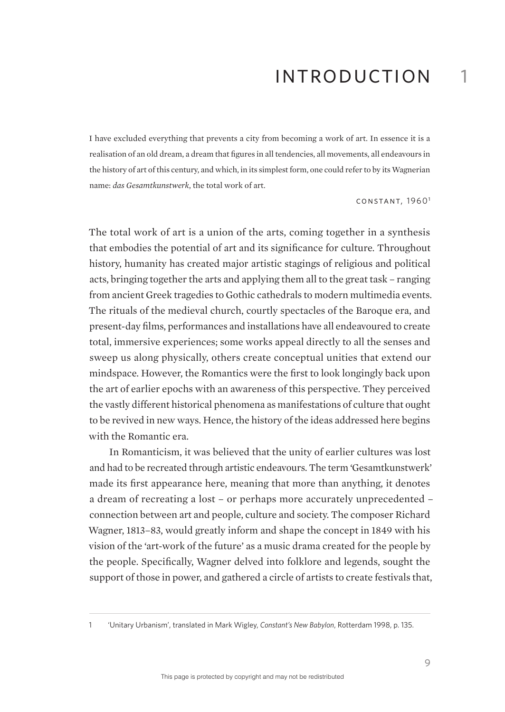I have excluded everything that prevents a city from becoming a work of art. In essence it is a realisation of an old dream, a dream that figures in all tendencies, all movements, all endeavours in the history of art of this century, and which, in its simplest form, one could refer to by its Wagnerian name: *das Gesamtkunstwerk*, the total work of art.

CONSTANT, 1960<sup>1</sup>

1

The total work of art is a union of the arts, coming together in a synthesis that embodies the potential of art and its significance for culture. Throughout history, humanity has created major artistic stagings of religious and political acts, bringing together the arts and applying them all to the great task – ranging from ancient Greek tragedies to Gothic cathedrals to modern multimedia events. The rituals of the medieval church, courtly spectacles of the Baroque era, and present-day films, performances and installations have all endeavoured to create total, immersive experiences; some works appeal directly to all the senses and sweep us along physically, others create conceptual unities that extend our mindspace. However, the Romantics were the first to look longingly back upon the art of earlier epochs with an awareness of this perspective. They perceived the vastly different historical phenomena as manifestations of culture that ought to be revived in new ways. Hence, the history of the ideas addressed here begins with the Romantic era.

In Romanticism, it was believed that the unity of earlier cultures was lost and had to be recreated through artistic endeavours. The term 'Gesamtkunstwerk' made its first appearance here, meaning that more than anything, it denotes a dream of recreating a lost – or perhaps more accurately unprecedented – connection between art and people, culture and society. The composer Richard Wagner, 1813–83, would greatly inform and shape the concept in 1849 with his vision of the 'art-work of the future' as a music drama created for the people by the people. Specifically, Wagner delved into folklore and legends, sought the support of those in power, and gathered a circle of artists to create festivals that,

<sup>1</sup> 'Unitary Urbanism', translated in Mark Wigley, *Constant's New Babylon*, Rotterdam 1998, p. 135.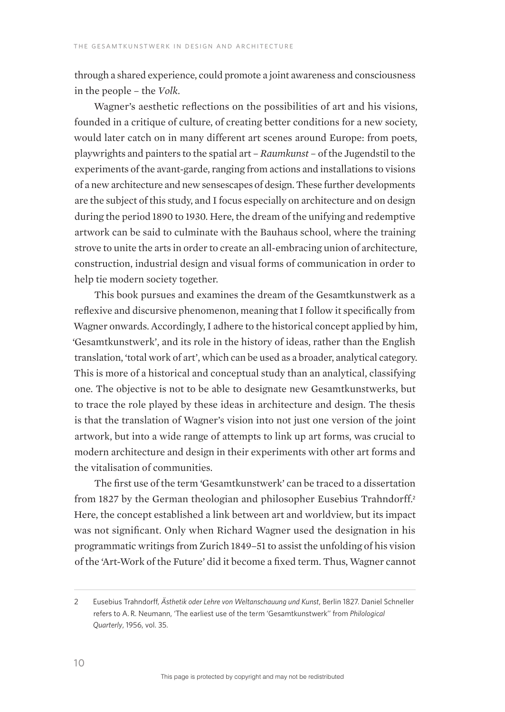through a shared experience, could promote a joint awareness and consciousness in the people – the *Volk*.

Wagner's aesthetic reflections on the possibilities of art and his visions, founded in a critique of culture, of creating better conditions for a new society, would later catch on in many different art scenes around Europe: from poets, playwrights and painters to the spatial art – *Raumkunst –* of the Jugendstil to the experiments of the avant-garde, ranging from actions and installations to visions of a new architecture and new sensescapes of design. These further developments are the subject of this study, and I focus especially on architecture and on design during the period 1890 to 1930. Here, the dream of the unifying and redemptive artwork can be said to culminate with the Bauhaus school, where the training strove to unite the arts in order to create an all-embracing union of architecture, construction, industrial design and visual forms of communication in order to help tie modern society together.

This book pursues and examines the dream of the Gesamtkunstwerk as a reflexive and discursive phenomenon, meaning that I follow it specifically from Wagner onwards. Accordingly, I adhere to the historical concept applied by him, 'Gesamtkunstwerk', and its role in the history of ideas, rather than the English translation, 'total work of art', which can be used as a broader, analytical category. This is more of a historical and conceptual study than an analytical, classifying one. The objective is not to be able to designate new Gesamtkunstwerks, but to trace the role played by these ideas in architecture and design. The thesis is that the translation of Wagner's vision into not just one version of the joint artwork, but into a wide range of attempts to link up art forms, was crucial to modern architecture and design in their experiments with other art forms and the vitalisation of communities.

The first use of the term 'Gesamtkunstwerk' can be traced to a dissertation from 1827 by the German theologian and philosopher Eusebius Trahndorff.<sup>2</sup> Here, the concept established a link between art and worldview, but its impact was not significant. Only when Richard Wagner used the designation in his programmatic writings from Zurich 1849–51 to assist the unfolding of his vision of the 'Art-Work of the Future' did it become a fixed term. Thus, Wagner cannot

<sup>2</sup> Eusebius Trahndorff, *Ästhetik oder Lehre von Weltanschauung und Kunst*, Berlin 1827. Daniel Schneller refers to A. R. Neumann, 'The earliest use of the term 'Gesamtkunstwerk'' from *Philological Quarterly*, 1956, vol. 35.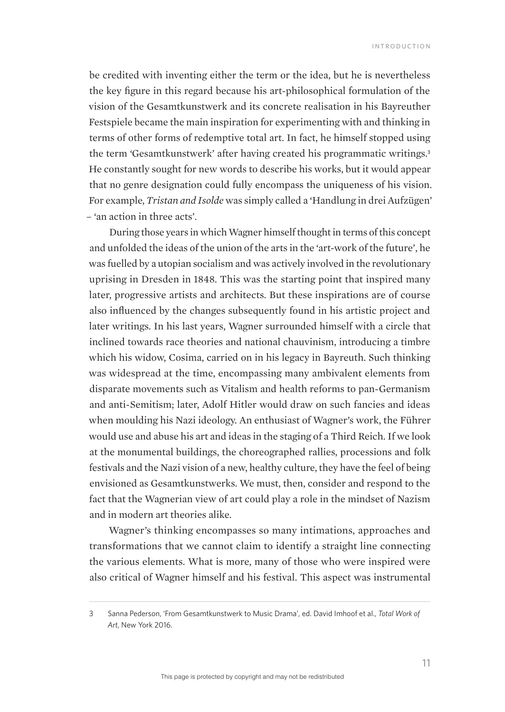be credited with inventing either the term or the idea, but he is nevertheless the key figure in this regard because his art-philosophical formulation of the vision of the Gesamtkunstwerk and its concrete realisation in his Bayreuther Festspiele became the main inspiration for experimenting with and thinking in terms of other forms of redemptive total art. In fact, he himself stopped using the term 'Gesamtkunstwerk' after having created his programmatic writings.<sup>3</sup> He constantly sought for new words to describe his works, but it would appear that no genre designation could fully encompass the uniqueness of his vision. For example, *Tristan and Isolde* was simply called a 'Handlung in drei Aufzügen' – 'an action in three acts'.

During those years in which Wagner himself thought in terms of this concept and unfolded the ideas of the union of the arts in the 'art-work of the future', he was fuelled by a utopian socialism and was actively involved in the revolutionary uprising in Dresden in 1848. This was the starting point that inspired many later, progressive artists and architects. But these inspirations are of course also influenced by the changes subsequently found in his artistic project and later writings. In his last years, Wagner surrounded himself with a circle that inclined towards race theories and national chauvinism, introducing a timbre which his widow, Cosima, carried on in his legacy in Bayreuth. Such thinking was widespread at the time, encompassing many ambivalent elements from disparate movements such as Vitalism and health reforms to pan-Germanism and anti-Semitism; later, Adolf Hitler would draw on such fancies and ideas when moulding his Nazi ideology. An enthusiast of Wagner's work, the Führer would use and abuse his art and ideas in the staging of a Third Reich. If we look at the monumental buildings, the choreographed rallies, processions and folk festivals and the Nazi vision of a new, healthy culture, they have the feel of being envisioned as Gesamtkunstwerks. We must, then, consider and respond to the fact that the Wagnerian view of art could play a role in the mindset of Nazism and in modern art theories alike.

Wagner's thinking encompasses so many intimations, approaches and transformations that we cannot claim to identify a straight line connecting the various elements. What is more, many of those who were inspired were also critical of Wagner himself and his festival. This aspect was instrumental

<sup>3</sup> Sanna Pederson, 'From Gesamtkunstwerk to Music Drama', ed. David Imhoof et al., *Total Work of Art*, New York 2016.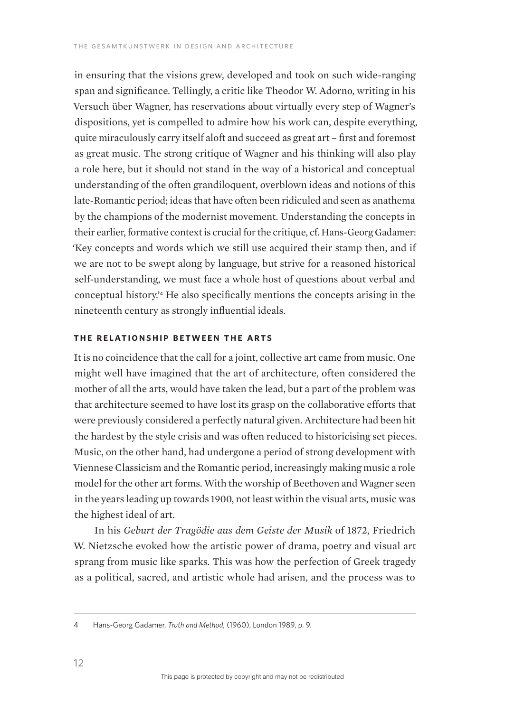in ensuring that the visions grew, developed and took on such wide-ranging span and significance. Tellingly, a critic like Theodor W. Adorno, writing in his Versuch über Wagner, has reservations about virtually every step of Wagner's dispositions, yet is compelled to admire how his work can, despite everything, quite miraculously carry itself aloft and succeed as great art – first and foremost as great music. The strong critique of Wagner and his thinking will also play a role here, but it should not stand in the way of a historical and conceptual understanding of the often grandiloquent, overblown ideas and notions of this late-Romantic period; ideas that have often been ridiculed and seen as anathema by the champions of the modernist movement. Understanding the concepts in their earlier, formative context is crucial for the critique, cf. Hans-Georg Gadamer: 'Key concepts and words which we still use acquired their stamp then, and if we are not to be swept along by language, but strive for a reasoned historical self-understanding, we must face a whole host of questions about verbal and conceptual history.'4 He also specifically mentions the concepts arising in the nineteenth century as strongly influential ideals.

## **The relationship between the arts**

It is no coincidence that the call for a joint, collective art came from music. One might well have imagined that the art of architecture, often considered the mother of all the arts, would have taken the lead, but a part of the problem was that architecture seemed to have lost its grasp on the collaborative efforts that were previously considered a perfectly natural given. Architecture had been hit the hardest by the style crisis and was often reduced to historicising set pieces. Music, on the other hand, had undergone a period of strong development with Viennese Classicism and the Romantic period, increasingly making music a role model for the other art forms. With the worship of Beethoven and Wagner seen in the years leading up towards 1900, not least within the visual arts, music was the highest ideal of art.

In his *Geburt der Tragödie aus dem Geiste der Musik* of 1872, Friedrich W. Nietzsche evoked how the artistic power of drama, poetry and visual art sprang from music like sparks. This was how the perfection of Greek tragedy as a political, sacred, and artistic whole had arisen, and the process was to

<sup>4</sup> Hans-Georg Gadamer, *Truth and Method*, (1960), London 1989, p. 9.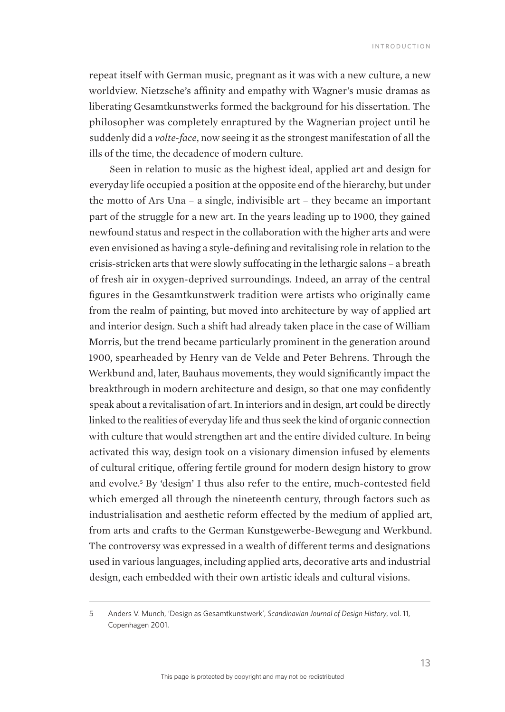repeat itself with German music, pregnant as it was with a new culture, a new worldview. Nietzsche's affinity and empathy with Wagner's music dramas as liberating Gesamtkunstwerks formed the background for his dissertation. The philosopher was completely enraptured by the Wagnerian project until he suddenly did a *volte-face*, now seeing it as the strongest manifestation of all the ills of the time, the decadence of modern culture.

Seen in relation to music as the highest ideal, applied art and design for everyday life occupied a position at the opposite end of the hierarchy, but under the motto of Ars Una – a single, indivisible art – they became an important part of the struggle for a new art. In the years leading up to 1900, they gained newfound status and respect in the collaboration with the higher arts and were even envisioned as having a style-defining and revitalising role in relation to the crisis-stricken arts that were slowly suffocating in the lethargic salons – a breath of fresh air in oxygen-deprived surroundings. Indeed, an array of the central figures in the Gesamtkunstwerk tradition were artists who originally came from the realm of painting, but moved into architecture by way of applied art and interior design. Such a shift had already taken place in the case of William Morris, but the trend became particularly prominent in the generation around 1900, spearheaded by Henry van de Velde and Peter Behrens. Through the Werkbund and, later, Bauhaus movements, they would significantly impact the breakthrough in modern architecture and design, so that one may confidently speak about a revitalisation of art. In interiors and in design, art could be directly linked to the realities of everyday life and thus seek the kind of organic connection with culture that would strengthen art and the entire divided culture. In being activated this way, design took on a visionary dimension infused by elements of cultural critique, offering fertile ground for modern design history to grow and evolve.<sup>5</sup> By 'design' I thus also refer to the entire, much-contested field which emerged all through the nineteenth century, through factors such as industrialisation and aesthetic reform effected by the medium of applied art, from arts and crafts to the German Kunstgewerbe-Bewegung and Werkbund. The controversy was expressed in a wealth of different terms and designations used in various languages, including applied arts, decorative arts and industrial design, each embedded with their own artistic ideals and cultural visions.

<sup>5</sup> Anders V. Munch, 'Design as Gesamtkunstwerk', *Scandinavian Journal of Design History*, vol. 11, Copenhagen 2001.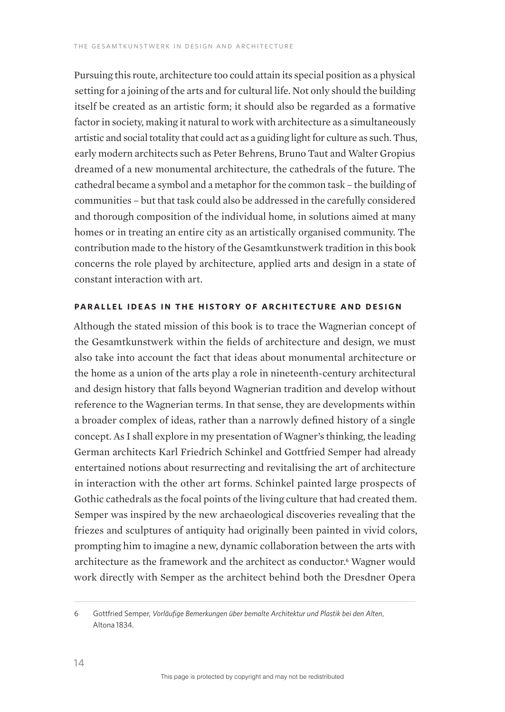Pursuing this route, architecture too could attain its special position as a physical setting for a joining of the arts and for cultural life. Not only should the building itself be created as an artistic form; it should also be regarded as a formative factor in society, making it natural to work with architecture as a simultaneously artistic and social totality that could act as a guiding light for culture as such. Thus, early modern architects such as Peter Behrens, Bruno Taut and Walter Gropius dreamed of a new monumental architecture, the cathedrals of the future. The cathedral became a symbol and a metaphor for the common task – the building of communities – but that task could also be addressed in the carefully considered and thorough composition of the individual home, in solutions aimed at many homes or in treating an entire city as an artistically organised community. The contribution made to the history of the Gesamtkunstwerk tradition in this book concerns the role played by architecture, applied arts and design in a state of constant interaction with art.

## **Parallel ideas in the history of architecture and design**

Although the stated mission of this book is to trace the Wagnerian concept of the Gesamtkunstwerk within the fields of architecture and design, we must also take into account the fact that ideas about monumental architecture or the home as a union of the arts play a role in nineteenth-century architectural and design history that falls beyond Wagnerian tradition and develop without reference to the Wagnerian terms. In that sense, they are developments within a broader complex of ideas, rather than a narrowly defined history of a single concept. As I shall explore in my presentation of Wagner's thinking, the leading German architects Karl Friedrich Schinkel and Gottfried Semper had already entertained notions about resurrecting and revitalising the art of architecture in interaction with the other art forms. Schinkel painted large prospects of Gothic cathedrals as the focal points of the living culture that had created them. Semper was inspired by the new archaeological discoveries revealing that the friezes and sculptures of antiquity had originally been painted in vivid colors, prompting him to imagine a new, dynamic collaboration between the arts with architecture as the framework and the architect as conductor.<sup>6</sup> Wagner would work directly with Semper as the architect behind both the Dresdner Opera

<sup>6</sup> Gottfried Semper, *Vorläufige Bemerkungen über bemalte Architektur und Plastik bei den Alten*, Altona 1834.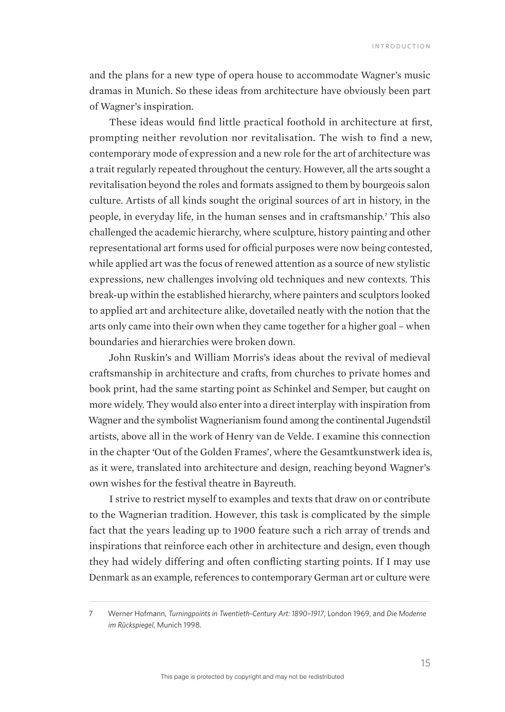and the plans for a new type of opera house to accommodate Wagner's music dramas in Munich. So these ideas from architecture have obviously been part of Wagner's inspiration.

These ideas would find little practical foothold in architecture at first, prompting neither revolution nor revitalisation. The wish to find a new, contemporary mode of expression and a new role for the art of architecture was a trait regularly repeated throughout the century. However, all the arts sought a revitalisation beyond the roles and formats assigned to them by bourgeois salon culture. Artists of all kinds sought the original sources of art in history, in the people, in everyday life, in the human senses and in craftsmanship.<sup>7</sup> This also challenged the academic hierarchy, where sculpture, history painting and other representational art forms used for official purposes were now being contested, while applied art was the focus of renewed attention as a source of new stylistic expressions, new challenges involving old techniques and new contexts. This break-up within the established hierarchy, where painters and sculptors looked to applied art and architecture alike, dovetailed neatly with the notion that the arts only came into their own when they came together for a higher goal – when boundaries and hierarchies were broken down.

John Ruskin's and William Morris's ideas about the revival of medieval craftsmanship in architecture and crafts, from churches to private homes and book print, had the same starting point as Schinkel and Semper, but caught on more widely. They would also enter into a direct interplay with inspiration from Wagner and the symbolist Wagnerianism found among the continental Jugendstil artists, above all in the work of Henry van de Velde. I examine this connection in the chapter 'Out of the Golden Frames', where the Gesamtkunstwerk idea is, as it were, translated into architecture and design, reaching beyond Wagner's own wishes for the festival theatre in Bayreuth.

I strive to restrict myself to examples and texts that draw on or contribute to the Wagnerian tradition. However, this task is complicated by the simple fact that the years leading up to 1900 feature such a rich array of trends and inspirations that reinforce each other in architecture and design, even though they had widely differing and often conflicting starting points. If I may use Denmark as an example, references to contemporary German art or culture were

<sup>7</sup> Werner Hofmann, *Turningpoints in Twentieth-Century Art: 1890–1917*, London 1969, and *Die Moderne im Rückspiegel*, Munich 1998.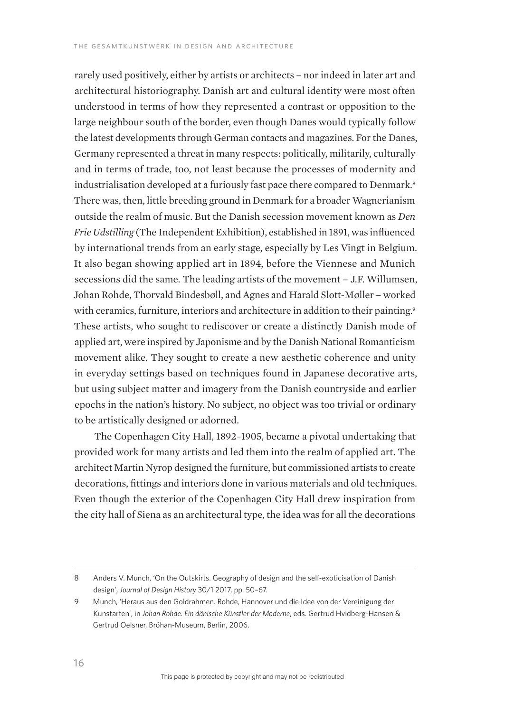rarely used positively, either by artists or architects – nor indeed in later art and architectural historiography. Danish art and cultural identity were most often understood in terms of how they represented a contrast or opposition to the large neighbour south of the border, even though Danes would typically follow the latest developments through German contacts and magazines. For the Danes, Germany represented a threat in many respects: politically, militarily, culturally and in terms of trade, too, not least because the processes of modernity and industrialisation developed at a furiously fast pace there compared to Denmark.<sup>8</sup> There was, then, little breeding ground in Denmark for a broader Wagnerianism outside the realm of music. But the Danish secession movement known as *Den Frie Udstilling* (The Independent Exhibition), established in 1891, was influenced by international trends from an early stage, especially by Les Vingt in Belgium. It also began showing applied art in 1894, before the Viennese and Munich secessions did the same. The leading artists of the movement – J.F. Willumsen, Johan Rohde, Thorvald Bindesbøll, and Agnes and Harald Slott-Møller – worked with ceramics, furniture, interiors and architecture in addition to their painting.<sup>9</sup> These artists, who sought to rediscover or create a distinctly Danish mode of applied art, were inspired by Japonisme and by the Danish National Romanticism movement alike. They sought to create a new aesthetic coherence and unity in everyday settings based on techniques found in Japanese decorative arts, but using subject matter and imagery from the Danish countryside and earlier epochs in the nation's history. No subject, no object was too trivial or ordinary to be artistically designed or adorned.

The Copenhagen City Hall, 1892–1905, became a pivotal undertaking that provided work for many artists and led them into the realm of applied art. The architect Martin Nyrop designed the furniture, but commissioned artists to create decorations, fittings and interiors done in various materials and old techniques. Even though the exterior of the Copenhagen City Hall drew inspiration from the city hall of Siena as an architectural type, the idea was for all the decorations

<sup>8</sup> Anders V. Munch, 'On the Outskirts. Geography of design and the self-exoticisation of Danish design', *Journal of Design History* 30/1 2017, pp. 50–67.

<sup>9</sup> Munch, 'Heraus aus den Goldrahmen. Rohde, Hannover und die Idee von der Vereinigung der Kunstarten', in *Johan Rohde. Ein dänische Künstler der Moderne*, eds. Gertrud Hvidberg-Hansen & Gertrud Oelsner, Bröhan-Museum, Berlin, 2006.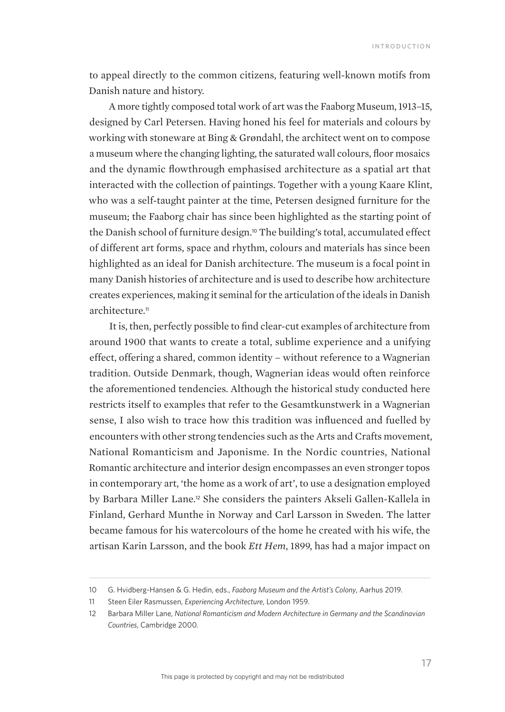to appeal directly to the common citizens, featuring well-known motifs from Danish nature and history.

A more tightly composed total work of art was the Faaborg Museum, 1913–15, designed by Carl Petersen. Having honed his feel for materials and colours by working with stoneware at Bing & Grøndahl, the architect went on to compose a museum where the changing lighting, the saturated wall colours, floor mosaics and the dynamic flowthrough emphasised architecture as a spatial art that interacted with the collection of paintings. Together with a young Kaare Klint, who was a self-taught painter at the time, Petersen designed furniture for the museum; the Faaborg chair has since been highlighted as the starting point of the Danish school of furniture design.10 The building's total, accumulated effect of different art forms, space and rhythm, colours and materials has since been highlighted as an ideal for Danish architecture. The museum is a focal point in many Danish histories of architecture and is used to describe how architecture creates experiences, making it seminal for the articulation of the ideals in Danish architecture<sup>11</sup>

It is, then, perfectly possible to find clear-cut examples of architecture from around 1900 that wants to create a total, sublime experience and a unifying effect, offering a shared, common identity – without reference to a Wagnerian tradition. Outside Denmark, though, Wagnerian ideas would often reinforce the aforementioned tendencies. Although the historical study conducted here restricts itself to examples that refer to the Gesamtkunstwerk in a Wagnerian sense, I also wish to trace how this tradition was influenced and fuelled by encounters with other strong tendencies such as the Arts and Crafts movement, National Romanticism and Japonisme. In the Nordic countries, National Romantic architecture and interior design encompasses an even stronger topos in contemporary art, 'the home as a work of art', to use a designation employed by Barbara Miller Lane.<sup>12</sup> She considers the painters Akseli Gallen-Kallela in Finland, Gerhard Munthe in Norway and Carl Larsson in Sweden. The latter became famous for his watercolours of the home he created with his wife, the artisan Karin Larsson, and the book *Ett Hem*, 1899, has had a major impact on

<sup>10</sup> G. Hvidberg-Hansen & G. Hedin, eds., *Faaborg Museum and the Artist's Colony*, Aarhus 2019.

<sup>11</sup> Steen Eiler Rasmussen, *Experiencing Architecture*, London 1959.

<sup>12</sup> Barbara Miller Lane, *National Romanticism and Modern Architecture in Germany and the Scandinavian Countries*, Cambridge 2000.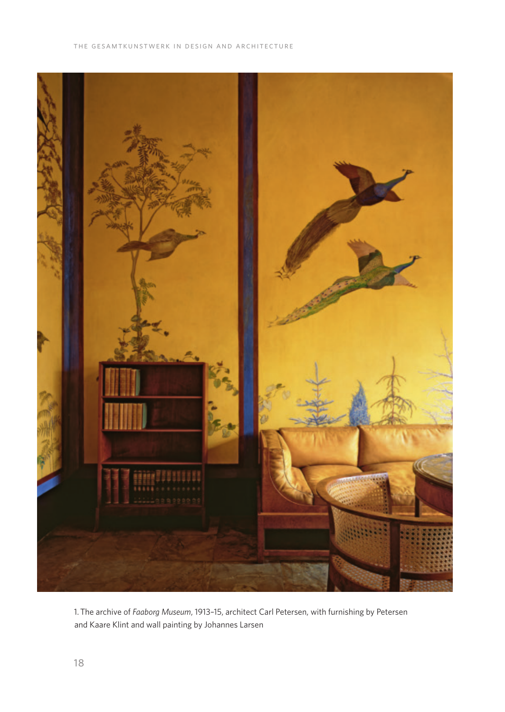

1. The archive of *Faaborg Museum*, 1913–15, architect Carl Petersen, with furnishing by Petersen and Kaare Klint and wall painting by Johannes Larsen